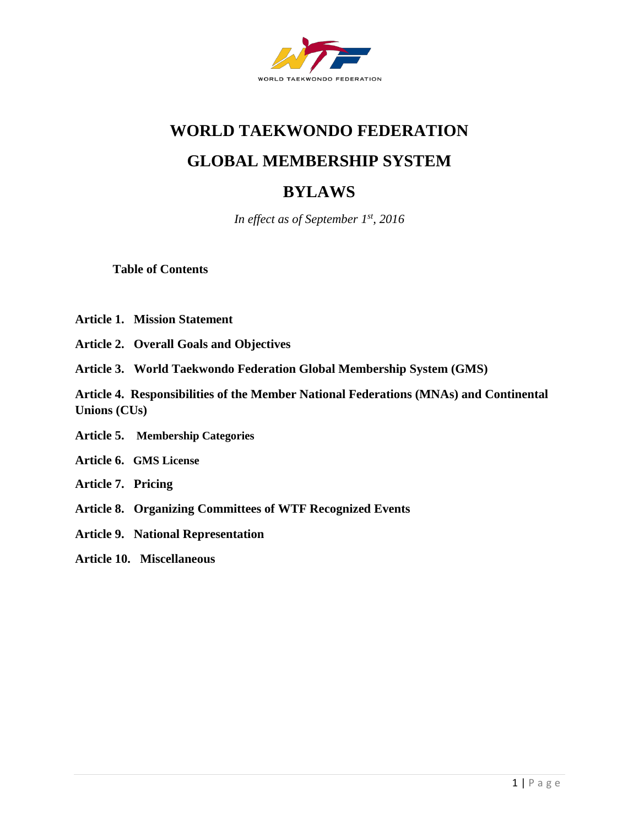

## **WORLD TAEKWONDO FEDERATION**

## **GLOBAL MEMBERSHIP SYSTEM**

# **BYLAWS**

*In effect as of September 1st, 2016*

**Table of Contents**

- **Article 1. Mission Statement**
- **Article 2. Overall Goals and Objectives**
- **Article 3. World Taekwondo Federation Global Membership System (GMS)**

**Article 4. Responsibilities of the Member National Federations (MNAs) and Continental Unions (CUs)**

- **Article 5. Membership Categories**
- **Article 6. GMS License**
- **Article 7. Pricing**
- **Article 8. Organizing Committees of WTF Recognized Events**
- **Article 9. National Representation**
- **Article 10. Miscellaneous**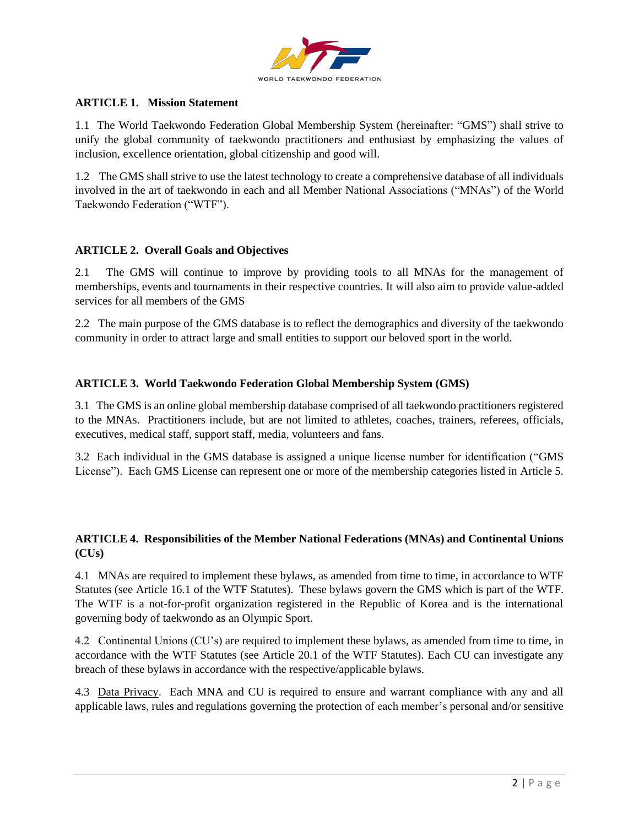

#### **ARTICLE 1. Mission Statement**

1.1 The World Taekwondo Federation Global Membership System (hereinafter: "GMS") shall strive to unify the global community of taekwondo practitioners and enthusiast by emphasizing the values of inclusion, excellence orientation, global citizenship and good will.

1.2 The GMS shall strive to use the latest technology to create a comprehensive database of all individuals involved in the art of taekwondo in each and all Member National Associations ("MNAs") of the World Taekwondo Federation ("WTF").

#### **ARTICLE 2. Overall Goals and Objectives**

2.1 The GMS will continue to improve by providing tools to all MNAs for the management of memberships, events and tournaments in their respective countries. It will also aim to provide value-added services for all members of the GMS

2.2 The main purpose of the GMS database is to reflect the demographics and diversity of the taekwondo community in order to attract large and small entities to support our beloved sport in the world.

#### **ARTICLE 3. World Taekwondo Federation Global Membership System (GMS)**

3.1 The GMS is an online global membership database comprised of all taekwondo practitioners registered to the MNAs. Practitioners include, but are not limited to athletes, coaches, trainers, referees, officials, executives, medical staff, support staff, media, volunteers and fans.

3.2 Each individual in the GMS database is assigned a unique license number for identification ("GMS License"). Each GMS License can represent one or more of the membership categories listed in Article 5.

## **ARTICLE 4. Responsibilities of the Member National Federations (MNAs) and Continental Unions (CUs)**

4.1 MNAs are required to implement these bylaws, as amended from time to time, in accordance to WTF Statutes (see Article 16.1 of the WTF Statutes). These bylaws govern the GMS which is part of the WTF. The WTF is a not-for-profit organization registered in the Republic of Korea and is the international governing body of taekwondo as an Olympic Sport.

4.2 Continental Unions (CU's) are required to implement these bylaws, as amended from time to time, in accordance with the WTF Statutes (see Article 20.1 of the WTF Statutes). Each CU can investigate any breach of these bylaws in accordance with the respective/applicable bylaws.

4.3 Data Privacy. Each MNA and CU is required to ensure and warrant compliance with any and all applicable laws, rules and regulations governing the protection of each member's personal and/or sensitive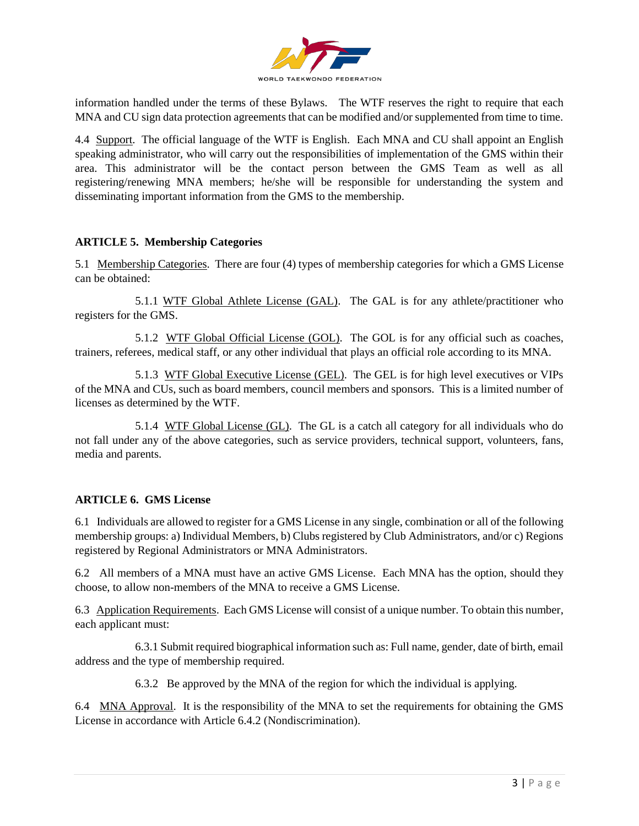

information handled under the terms of these Bylaws. The WTF reserves the right to require that each MNA and CU sign data protection agreements that can be modified and/or supplemented from time to time.

4.4 Support. The official language of the WTF is English. Each MNA and CU shall appoint an English speaking administrator, who will carry out the responsibilities of implementation of the GMS within their area. This administrator will be the contact person between the GMS Team as well as all registering/renewing MNA members; he/she will be responsible for understanding the system and disseminating important information from the GMS to the membership.

#### **ARTICLE 5. Membership Categories**

5.1 Membership Categories. There are four (4) types of membership categories for which a GMS License can be obtained:

5.1.1 WTF Global Athlete License (GAL). The GAL is for any athlete/practitioner who registers for the GMS.

5.1.2 WTF Global Official License (GOL). The GOL is for any official such as coaches, trainers, referees, medical staff, or any other individual that plays an official role according to its MNA.

5.1.3 WTF Global Executive License (GEL). The GEL is for high level executives or VIPs of the MNA and CUs, such as board members, council members and sponsors. This is a limited number of licenses as determined by the WTF.

5.1.4 WTF Global License (GL). The GL is a catch all category for all individuals who do not fall under any of the above categories, such as service providers, technical support, volunteers, fans, media and parents.

## **ARTICLE 6. GMS License**

6.1 Individuals are allowed to register for a GMS License in any single, combination or all of the following membership groups: a) Individual Members, b) Clubs registered by Club Administrators, and/or c) Regions registered by Regional Administrators or MNA Administrators.

6.2 All members of a MNA must have an active GMS License. Each MNA has the option, should they choose, to allow non-members of the MNA to receive a GMS License.

6.3 Application Requirements. Each GMS License will consist of a unique number. To obtain this number, each applicant must:

6.3.1 Submit required biographical information such as: Full name, gender, date of birth, email address and the type of membership required.

6.3.2 Be approved by the MNA of the region for which the individual is applying.

6.4 MNA Approval. It is the responsibility of the MNA to set the requirements for obtaining the GMS License in accordance with Article 6.4.2 (Nondiscrimination).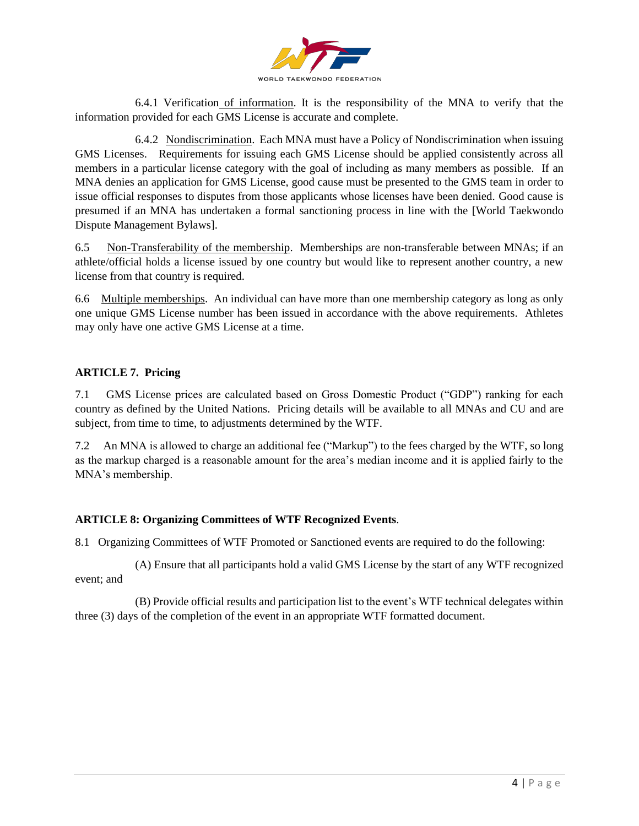

6.4.1 Verification of information. It is the responsibility of the MNA to verify that the information provided for each GMS License is accurate and complete.

6.4.2 Nondiscrimination. Each MNA must have a Policy of Nondiscrimination when issuing GMS Licenses. Requirements for issuing each GMS License should be applied consistently across all members in a particular license category with the goal of including as many members as possible. If an MNA denies an application for GMS License, good cause must be presented to the GMS team in order to issue official responses to disputes from those applicants whose licenses have been denied. Good cause is presumed if an MNA has undertaken a formal sanctioning process in line with the [World Taekwondo Dispute Management Bylaws].

6.5 Non-Transferability of the membership. Memberships are non-transferable between MNAs; if an athlete/official holds a license issued by one country but would like to represent another country, a new license from that country is required.

6.6 Multiple memberships. An individual can have more than one membership category as long as only one unique GMS License number has been issued in accordance with the above requirements. Athletes may only have one active GMS License at a time.

## **ARTICLE 7. Pricing**

7.1 GMS License prices are calculated based on Gross Domestic Product ("GDP") ranking for each country as defined by the United Nations. Pricing details will be available to all MNAs and CU and are subject, from time to time, to adjustments determined by the WTF.

7.2 An MNA is allowed to charge an additional fee ("Markup") to the fees charged by the WTF, so long as the markup charged is a reasonable amount for the area's median income and it is applied fairly to the MNA's membership.

## **ARTICLE 8: Organizing Committees of WTF Recognized Events**.

8.1 Organizing Committees of WTF Promoted or Sanctioned events are required to do the following:

(A) Ensure that all participants hold a valid GMS License by the start of any WTF recognized event; and

(B) Provide official results and participation list to the event's WTF technical delegates within three (3) days of the completion of the event in an appropriate WTF formatted document.